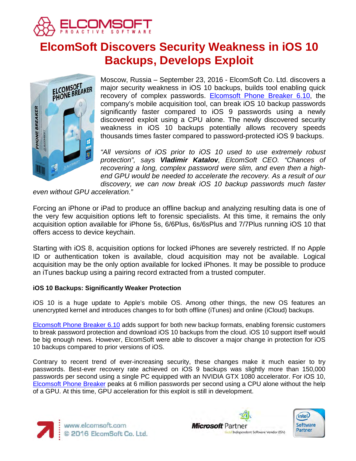

# **ElcomSoft Discovers Security Weakness in iOS 10 Backups, Develops Exploit**



Moscow, Russia – September 23, 2016 - ElcomSoft Co. Ltd. discovers a major security weakness in iOS 10 backups, builds tool enabling quick recovery of complex passwords. [Elcomsoft Phone Breaker 6.10,](https://www.elcomsoft.com/eppb.html) the company's mobile acquisition tool, can break iOS 10 backup passwords significantly faster compared to iOS 9 passwords using a newly discovered exploit using a CPU alone. The newly discovered security weakness in iOS 10 backups potentially allows recovery speeds thousands times faster compared to password-protected iOS 9 backups.

*"All versions of iOS prior to iOS 10 used to use extremely robust protection", says Vladimir Katalov, ElcomSoft CEO. "Chances of recovering a long, complex password were slim, and even then a highend GPU would be needed to accelerate the recovery. As a result of our discovery, we can now break iOS 10 backup passwords much faster* 

*even without GPU acceleration."* 

Forcing an iPhone or iPad to produce an offline backup and analyzing resulting data is one of the very few acquisition options left to forensic specialists. At this time, it remains the only acquisition option available for iPhone 5s, 6/6Plus, 6s/6sPlus and 7/7Plus running iOS 10 that offers access to device keychain.

Starting with iOS 8, acquisition options for locked iPhones are severely restricted. If no Apple ID or authentication token is available, cloud acquisition may not be available. Logical acquisition may be the only option available for locked iPhones. It may be possible to produce an iTunes backup using a pairing record extracted from a trusted computer.

## **iOS 10 Backups: Significantly Weaker Protection**

iOS 10 is a huge update to Apple's mobile OS. Among other things, the new OS features an unencrypted kernel and introduces changes to for both offline (iTunes) and online (iCloud) backups.

[Elcomsoft Phone Breaker 6.10](https://www.elcomsoft.com/eppb.html) adds support for both new backup formats, enabling forensic customers to break password protection and download iOS 10 backups from the cloud. iOS 10 support itself would be big enough news. However, ElcomSoft were able to discover a major change in protection for iOS 10 backups compared to prior versions of iOS.

Contrary to recent trend of ever-increasing security, these changes make it much easier to try passwords. Best-ever recovery rate achieved on iOS 9 backups was slightly more than 150,000 passwords per second using a single PC equipped with an NVIDIA GTX 1080 accelerator. For iOS 10, [Elcomsoft Phone Breaker](https://www.elcomsoft.com/eppb.html) peaks at 6 million passwords per second using a CPU alone without the help of a GPU. At this time, GPU acceleration for this exploit is still in development.